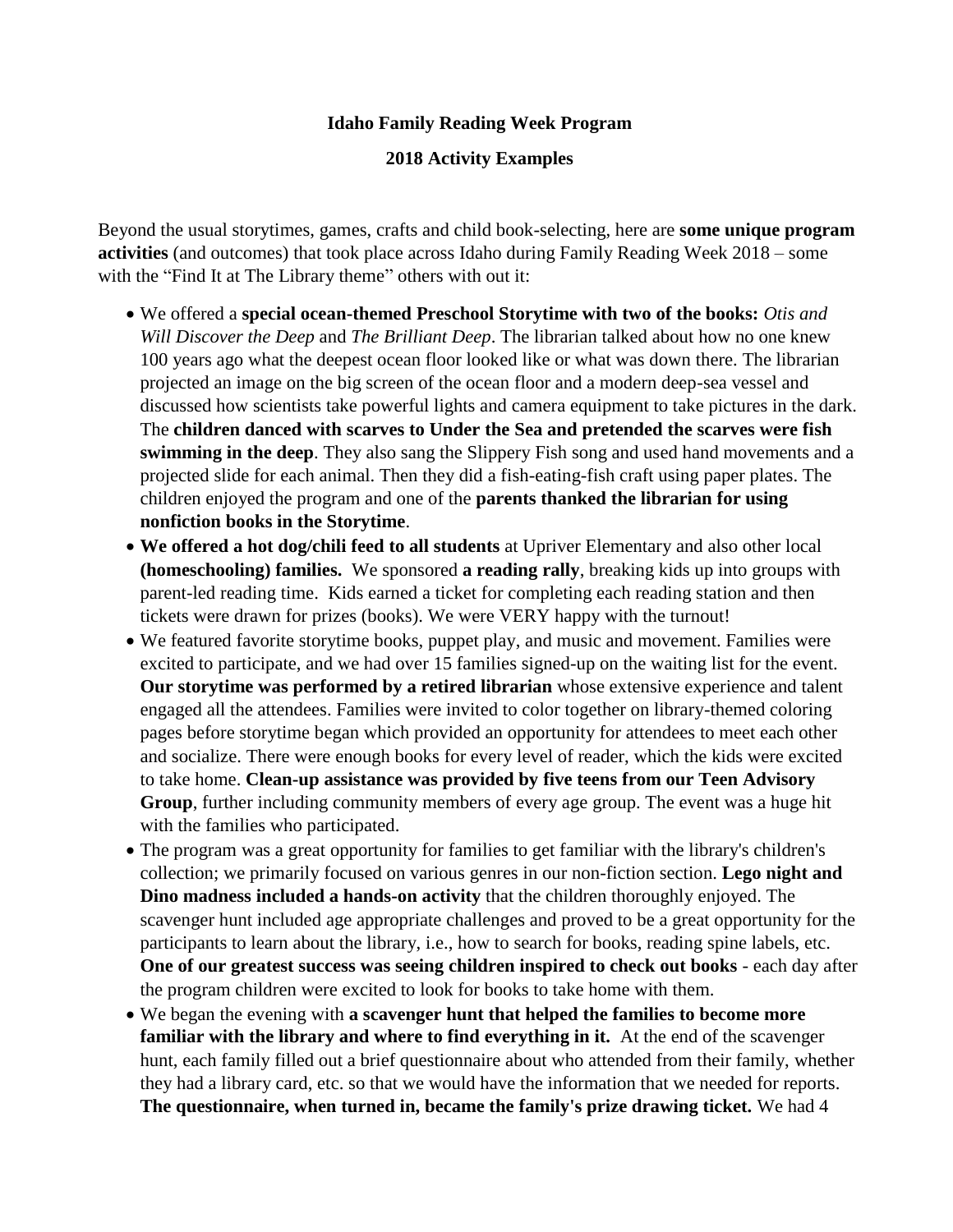## **Idaho Family Reading Week Program**

## **2018 Activity Examples**

Beyond the usual storytimes, games, crafts and child book-selecting, here are **some unique program activities** (and outcomes) that took place across Idaho during Family Reading Week 2018 – some with the "Find It at The Library theme" others with out it:

- We offered a **special ocean-themed Preschool Storytime with two of the books:** *Otis and Will Discover the Deep* and *The Brilliant Deep*. The librarian talked about how no one knew 100 years ago what the deepest ocean floor looked like or what was down there. The librarian projected an image on the big screen of the ocean floor and a modern deep-sea vessel and discussed how scientists take powerful lights and camera equipment to take pictures in the dark. The **children danced with scarves to Under the Sea and pretended the scarves were fish swimming in the deep**. They also sang the Slippery Fish song and used hand movements and a projected slide for each animal. Then they did a fish-eating-fish craft using paper plates. The children enjoyed the program and one of the **parents thanked the librarian for using nonfiction books in the Storytime**.
- **We offered a hot dog/chili feed to all students** at Upriver Elementary and also other local **(homeschooling) families.** We sponsored **a reading rally**, breaking kids up into groups with parent-led reading time. Kids earned a ticket for completing each reading station and then tickets were drawn for prizes (books). We were VERY happy with the turnout!
- We featured favorite storytime books, puppet play, and music and movement. Families were excited to participate, and we had over 15 families signed-up on the waiting list for the event. **Our storytime was performed by a retired librarian** whose extensive experience and talent engaged all the attendees. Families were invited to color together on library-themed coloring pages before storytime began which provided an opportunity for attendees to meet each other and socialize. There were enough books for every level of reader, which the kids were excited to take home. **Clean-up assistance was provided by five teens from our Teen Advisory Group**, further including community members of every age group. The event was a huge hit with the families who participated.
- The program was a great opportunity for families to get familiar with the library's children's collection; we primarily focused on various genres in our non-fiction section. **Lego night and Dino madness included a hands-on activity** that the children thoroughly enjoyed. The scavenger hunt included age appropriate challenges and proved to be a great opportunity for the participants to learn about the library, i.e., how to search for books, reading spine labels, etc. **One of our greatest success was seeing children inspired to check out books** - each day after the program children were excited to look for books to take home with them.
- We began the evening with **a scavenger hunt that helped the families to become more familiar with the library and where to find everything in it.** At the end of the scavenger hunt, each family filled out a brief questionnaire about who attended from their family, whether they had a library card, etc. so that we would have the information that we needed for reports. **The questionnaire, when turned in, became the family's prize drawing ticket.** We had 4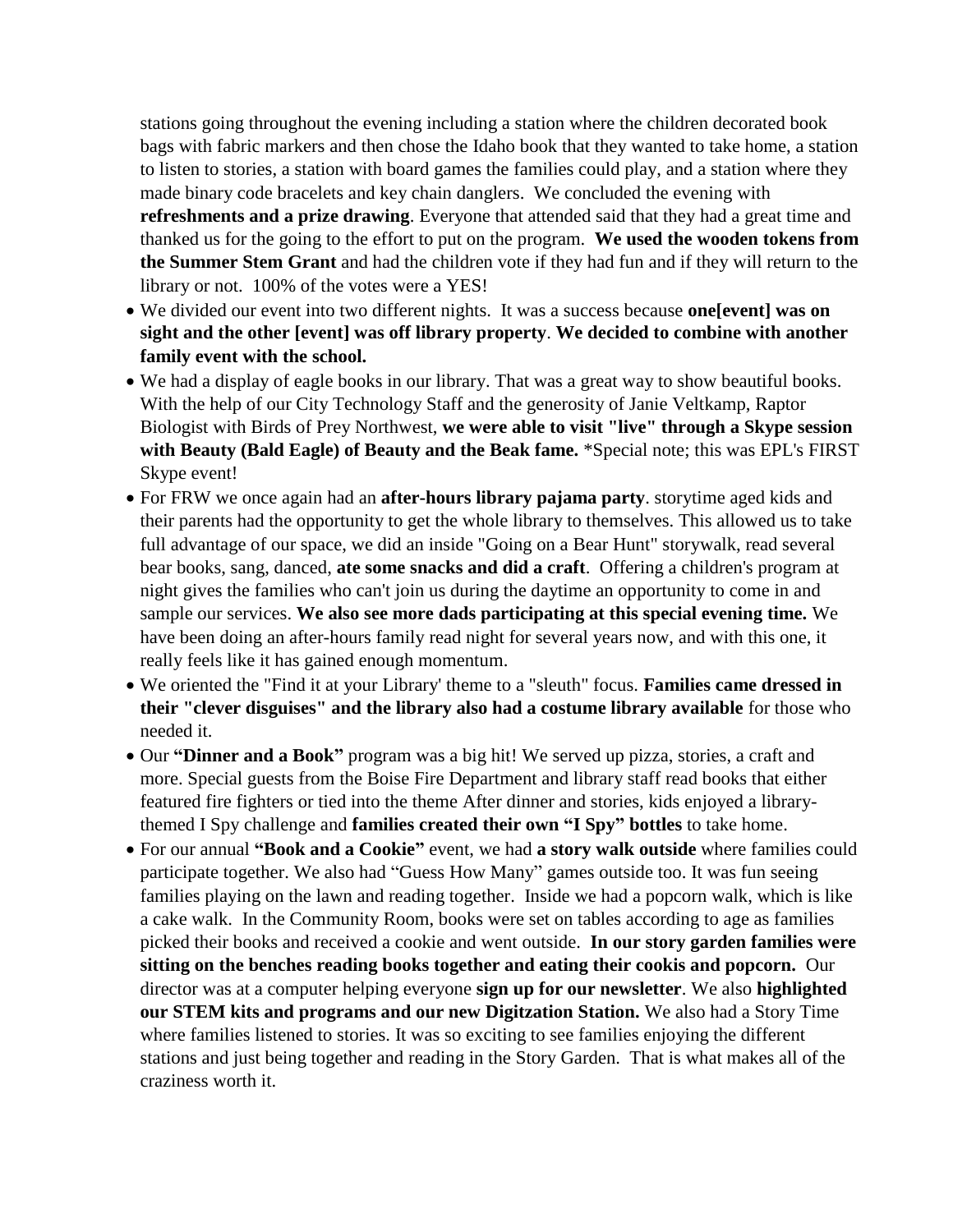stations going throughout the evening including a station where the children decorated book bags with fabric markers and then chose the Idaho book that they wanted to take home, a station to listen to stories, a station with board games the families could play, and a station where they made binary code bracelets and key chain danglers. We concluded the evening with **refreshments and a prize drawing**. Everyone that attended said that they had a great time and thanked us for the going to the effort to put on the program. **We used the wooden tokens from the Summer Stem Grant** and had the children vote if they had fun and if they will return to the library or not. 100% of the votes were a YES!

- We divided our event into two different nights. It was a success because **one[event] was on sight and the other [event] was off library property**. **We decided to combine with another family event with the school.**
- We had a display of eagle books in our library. That was a great way to show beautiful books. With the help of our City Technology Staff and the generosity of Janie Veltkamp, Raptor Biologist with Birds of Prey Northwest, **we were able to visit "live" through a Skype session with Beauty (Bald Eagle) of Beauty and the Beak fame.** \*Special note; this was EPL's FIRST Skype event!
- For FRW we once again had an **after-hours library pajama party**. storytime aged kids and their parents had the opportunity to get the whole library to themselves. This allowed us to take full advantage of our space, we did an inside "Going on a Bear Hunt" storywalk, read several bear books, sang, danced, **ate some snacks and did a craft**. Offering a children's program at night gives the families who can't join us during the daytime an opportunity to come in and sample our services. **We also see more dads participating at this special evening time.** We have been doing an after-hours family read night for several years now, and with this one, it really feels like it has gained enough momentum.
- We oriented the "Find it at your Library' theme to a "sleuth" focus. **Families came dressed in their "clever disguises" and the library also had a costume library available** for those who needed it.
- Our **"Dinner and a Book"** program was a big hit! We served up pizza, stories, a craft and more. Special guests from the Boise Fire Department and library staff read books that either featured fire fighters or tied into the theme After dinner and stories, kids enjoyed a librarythemed I Spy challenge and **families created their own "I Spy" bottles** to take home.
- For our annual **"Book and a Cookie"** event, we had **a story walk outside** where families could participate together. We also had "Guess How Many" games outside too. It was fun seeing families playing on the lawn and reading together. Inside we had a popcorn walk, which is like a cake walk. In the Community Room, books were set on tables according to age as families picked their books and received a cookie and went outside. **In our story garden families were sitting on the benches reading books together and eating their cookis and popcorn.** Our director was at a computer helping everyone **sign up for our newsletter**. We also **highlighted our STEM kits and programs and our new Digitzation Station.** We also had a Story Time where families listened to stories. It was so exciting to see families enjoying the different stations and just being together and reading in the Story Garden. That is what makes all of the craziness worth it.